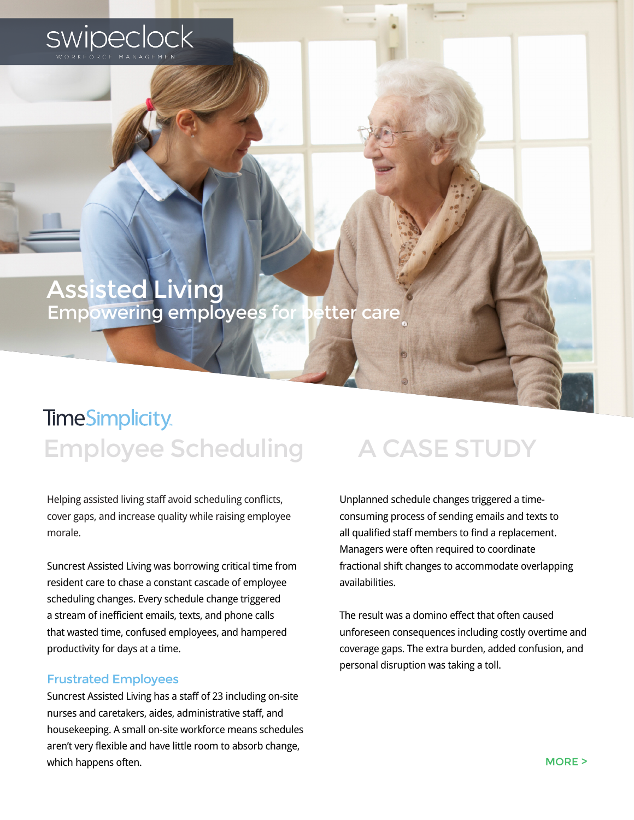

### Assisted Living Empowering employees for better care

## **TimeSimplicity** Employee Scheduling A CASE STUDY

Helping assisted living staff avoid scheduling conflicts, cover gaps, and increase quality while raising employee morale.

Suncrest Assisted Living was borrowing critical time from resident care to chase a constant cascade of employee scheduling changes. Every schedule change triggered a stream of inefficient emails, texts, and phone calls that wasted time, confused employees, and hampered productivity for days at a time.

#### Frustrated Employees

Suncrest Assisted Living has a staff of 23 including on-site nurses and caretakers, aides, administrative staff, and housekeeping. A small on-site workforce means schedules aren't very flexible and have little room to absorb change, which happens often.

Unplanned schedule changes triggered a timeconsuming process of sending emails and texts to all qualified staff members to find a replacement. Managers were often required to coordinate fractional shift changes to accommodate overlapping availabilities.

The result was a domino effect that often caused unforeseen consequences including costly overtime and coverage gaps. The extra burden, added confusion, and personal disruption was taking a toll.